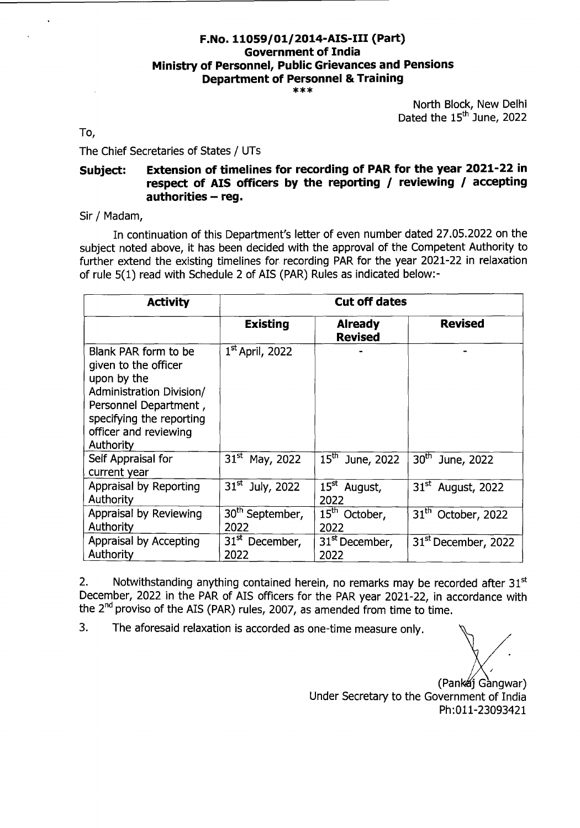## **F.No. 11059/Ol/2014-AIS-III (Part) Government of India Ministry of Personnel, Public Grievances and Pensions Department of Personnel** & **Training**

North Block, New Delhi Dated the  $15<sup>th</sup>$  June, 2022

To,

The Chief Secretaries of States *I* UTs

## **Subject: Extension of timelines for recording of PAR for the year 2021-22 in respect of AIS officers by the reporting** */* **reviewing** *I* **accepting authorities** — **reg.**

Sir *I* Madam,

In continuation of this Department's letter of even number dated 27.05.2022 on the subject noted above, it has been decided with the approval of the Competent Authority to further extend the existing timelines for. recording PAR for the year 2021-22 in relaxation of rule 5(1) read with Schedule 2 of AIS (PAR) Rules as indicated below:-

| <b>Activity</b>                                                                                                                                                                    | <b>Cut off dates</b>                |                                    |                                 |
|------------------------------------------------------------------------------------------------------------------------------------------------------------------------------------|-------------------------------------|------------------------------------|---------------------------------|
|                                                                                                                                                                                    | <b>Existing</b>                     | <b>Already</b><br><b>Revised</b>   | <b>Revised</b>                  |
| Blank PAR form to be<br>given to the officer<br>upon by the<br>Administration Division/<br>Personnel Department,<br>specifying the reporting<br>officer and reviewing<br>Authority | $1st$ April, 2022                   |                                    |                                 |
| Self Appraisal for<br>current year                                                                                                                                                 | $31^{st}$ May, 2022                 | $15^{th}$ June, 2022               | 30 <sup>th</sup> June, 2022     |
| Appraisal by Reporting<br>Authority                                                                                                                                                | $31st$ July, 2022                   | $15^{st}$ August,<br>2022          | $31st$ August, 2022             |
| Appraisal by Reviewing<br>Authority                                                                                                                                                | 30 <sup>th</sup> September,<br>2022 | 15 <sup>th</sup> October,<br>2022  | 31 <sup>th</sup> October, 2022  |
| Appraisal by Accepting<br>Authority                                                                                                                                                | $31st$ December,<br>2022            | 31 <sup>st</sup> December,<br>2022 | 31 <sup>st</sup> December, 2022 |

2. Notwithstanding anything contained herein, no remarks may be recorded after  $31<sup>st</sup>$ December, 2022 in the PAR of AIS officers for the PAR year 2021-22, in accordance with the  $2<sup>nd</sup>$  proviso of the AIS (PAR) rules, 2007, as amended from time to time.

3. The aforesaid relaxation is accorded as one-time measure only.

(Panké'j Gàngwar) Under Secretary to the Government of India Ph:011-23093421